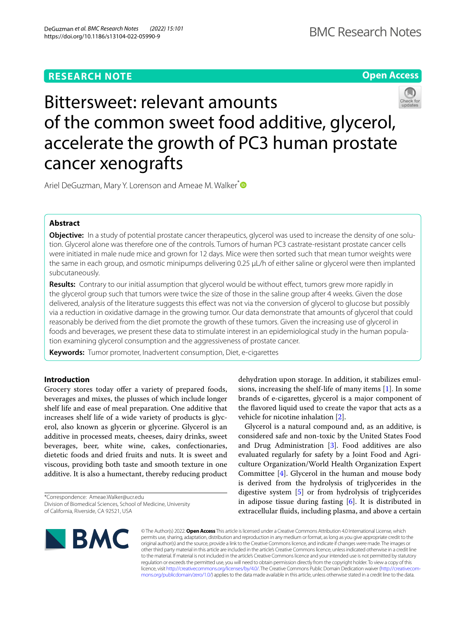# **RESEARCH NOTE**





Bittersweet: relevant amounts of the common sweet food additive, glycerol, accelerate the growth of PC3 human prostate cancer xenografts

Ariel DeGuzman, Mary Y. Lorenson and Ameae M. Walker<sup>[\\*](http://orcid.org/0000-0002-7614-7450)</sup>

## **Abstract**

**Objective:** In a study of potential prostate cancer therapeutics, glycerol was used to increase the density of one solution. Glycerol alone was therefore one of the controls. Tumors of human PC3 castrate-resistant prostate cancer cells were initiated in male nude mice and grown for 12 days. Mice were then sorted such that mean tumor weights were the same in each group, and osmotic minipumps delivering 0.25 µL/h of either saline or glycerol were then implanted subcutaneously.

**Results:** Contrary to our initial assumption that glycerol would be without effect, tumors grew more rapidly in the glycerol group such that tumors were twice the size of those in the saline group after 4 weeks. Given the dose delivered, analysis of the literature suggests this effect was not via the conversion of glycerol to glucose but possibly via a reduction in oxidative damage in the growing tumor. Our data demonstrate that amounts of glycerol that could reasonably be derived from the diet promote the growth of these tumors. Given the increasing use of glycerol in foods and beverages, we present these data to stimulate interest in an epidemiological study in the human population examining glycerol consumption and the aggressiveness of prostate cancer.

**Keywords:** Tumor promoter, Inadvertent consumption, Diet, e-cigarettes

## **Introduction**

Grocery stores today offer a variety of prepared foods, beverages and mixes, the plusses of which include longer shelf life and ease of meal preparation. One additive that increases shelf life of a wide variety of products is glycerol, also known as glycerin or glycerine. Glycerol is an additive in processed meats, cheeses, dairy drinks, sweet beverages, beer, white wine, cakes, confectionaries, dietetic foods and dried fruits and nuts. It is sweet and viscous, providing both taste and smooth texture in one additive. It is also a humectant, thereby reducing product

\*Correspondence: Ameae.Walker@ucr.edu Division of Biomedical Sciences, School of Medicine, University of California, Riverside, CA 92521, USA

dehydration upon storage. In addition, it stabilizes emulsions, increasing the shelf-life of many items [[1\]](#page-3-0). In some brands of e-cigarettes, glycerol is a major component of the favored liquid used to create the vapor that acts as a vehicle for nicotine inhalation [\[2\]](#page-3-1).

Glycerol is a natural compound and, as an additive, is considered safe and non-toxic by the United States Food and Drug Administration [\[3](#page-3-2)]. Food additives are also evaluated regularly for safety by a Joint Food and Agriculture Organization/World Health Organization Expert Committee [[4\]](#page-3-3). Glycerol in the human and mouse body is derived from the hydrolysis of triglycerides in the digestive system [\[5](#page-3-4)] or from hydrolysis of triglycerides in adipose tissue during fasting [[6\]](#page-3-5). It is distributed in extracellular fuids, including plasma, and above a certain



© The Author(s) 2022. **Open Access** This article is licensed under a Creative Commons Attribution 4.0 International License, which permits use, sharing, adaptation, distribution and reproduction in any medium or format, as long as you give appropriate credit to the original author(s) and the source, provide a link to the Creative Commons licence, and indicate if changes were made. The images or other third party material in this article are included in the article's Creative Commons licence, unless indicated otherwise in a credit line to the material. If material is not included in the article's Creative Commons licence and your intended use is not permitted by statutory regulation or exceeds the permitted use, you will need to obtain permission directly from the copyright holder. To view a copy of this licence, visit [http://creativecommons.org/licenses/by/4.0/.](http://creativecommons.org/licenses/by/4.0/) The Creative Commons Public Domain Dedication waiver ([http://creativecom](http://creativecommons.org/publicdomain/zero/1.0/)[mons.org/publicdomain/zero/1.0/\)](http://creativecommons.org/publicdomain/zero/1.0/) applies to the data made available in this article, unless otherwise stated in a credit line to the data.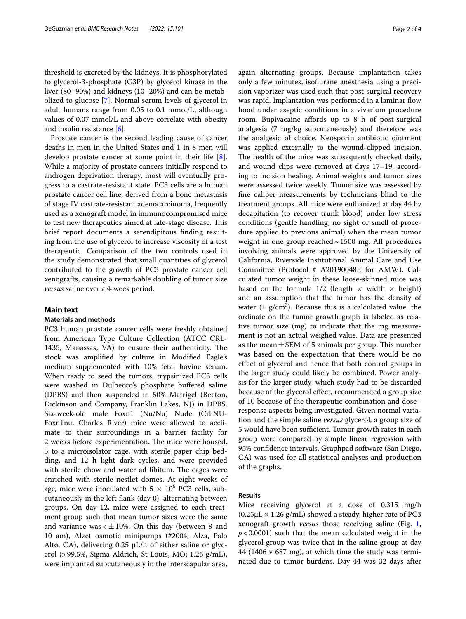threshold is excreted by the kidneys. It is phosphorylated to glycerol-3-phosphate (G3P) by glycerol kinase in the liver (80–90%) and kidneys (10–20%) and can be metabolized to glucose [[7\]](#page-3-6). Normal serum levels of glycerol in adult humans range from 0.05 to 0.1 mmol/L, although values of 0.07 mmol/L and above correlate with obesity and insulin resistance [\[6](#page-3-5)].

Prostate cancer is the second leading cause of cancer deaths in men in the United States and 1 in 8 men will develop prostate cancer at some point in their life [\[8](#page-3-7)]. While a majority of prostate cancers initially respond to androgen deprivation therapy, most will eventually progress to a castrate-resistant state. PC3 cells are a human prostate cancer cell line, derived from a bone metastasis of stage IV castrate-resistant adenocarcinoma, frequently used as a xenograft model in immunocompromised mice to test new therapeutics aimed at late-stage disease. This brief report documents a serendipitous fnding resulting from the use of glycerol to increase viscosity of a test therapeutic. Comparison of the two controls used in the study demonstrated that small quantities of glycerol contributed to the growth of PC3 prostate cancer cell xenografts, causing a remarkable doubling of tumor size *versus* saline over a 4-week period.

## **Main text**

### **Materials and methods**

PC3 human prostate cancer cells were freshly obtained from American Type Culture Collection (ATCC CRL-1435, Manassas, VA) to ensure their authenticity. The stock was amplifed by culture in Modifed Eagle's medium supplemented with 10% fetal bovine serum. When ready to seed the tumors, trypsinized PC3 cells were washed in Dulbecco's phosphate buffered saline (DPBS) and then suspended in 50% Matrigel (Becton, Dickinson and Company, Franklin Lakes, NJ) in DPBS. Six-week-old male Foxn1 (Nu/Nu) Nude (Crl:NU-Foxn1nu, Charles River) mice were allowed to acclimate to their surroundings in a barrier facility for 2 weeks before experimentation. The mice were housed, 5 to a microisolator cage, with sterile paper chip bedding, and 12 h light–dark cycles, and were provided with sterile chow and water ad libitum. The cages were enriched with sterile nestlet domes. At eight weeks of age, mice were inoculated with  $5 \times 10^6$  PC3 cells, subcutaneously in the left fank (day 0), alternating between groups. On day 12, mice were assigned to each treatment group such that mean tumor sizes were the same and variance was  $< \pm 10$ %. On this day (between 8 and 10 am), Alzet osmotic minipumps (#2004, Alza, Palo Alto, CA), delivering  $0.25 \mu L/h$  of either saline or glycerol (>99.5%, Sigma-Aldrich, St Louis, MO; 1.26 g/mL), were implanted subcutaneously in the interscapular area, again alternating groups. Because implantation takes only a few minutes, isofurane anesthesia using a precision vaporizer was used such that post-surgical recovery was rapid. Implantation was performed in a laminar flow hood under aseptic conditions in a vivarium procedure room. Bupivacaine affords up to 8 h of post-surgical analgesia (7 mg/kg subcutaneously) and therefore was the analgesic of choice. Neosporin antibiotic ointment was applied externally to the wound-clipped incision. The health of the mice was subsequently checked daily, and wound clips were removed at days 17–19, according to incision healing. Animal weights and tumor sizes were assessed twice weekly. Tumor size was assessed by fne caliper measurements by technicians blind to the treatment groups. All mice were euthanized at day 44 by decapitation (to recover trunk blood) under low stress conditions (gentle handling, no sight or smell of procedure applied to previous animal) when the mean tumor weight in one group reached $\sim$ 1500 mg. All procedures involving animals were approved by the University of California, Riverside Institutional Animal Care and Use Committee (Protocol # A20190048E for AMW). Calculated tumor weight in these loose-skinned mice was based on the formula 1/2 (length  $\times$  width  $\times$  height) and an assumption that the tumor has the density of water (1  $g/cm<sup>3</sup>$ ). Because this is a calculated value, the ordinate on the tumor growth graph is labeled as relative tumor size (mg) to indicate that the mg measurement is not an actual weighed value. Data are presented as the mean  $\pm$  SEM of 5 animals per group. This number was based on the expectation that there would be no efect of glycerol and hence that both control groups in the larger study could likely be combined. Power analysis for the larger study, which study had to be discarded because of the glycerol effect, recommended a group size of 10 because of the therapeutic combination and dose– response aspects being investigated. Given normal variation and the simple saline *versus* glycerol, a group size of 5 would have been sufficient. Tumor growth rates in each group were compared by simple linear regression with 95% confdence intervals. Graphpad software (San Diego, CA) was used for all statistical analyses and production of the graphs.

## **Results**

Mice receiving glycerol at a dose of 0.315 mg/h  $(0.25 \mu L \times 1.26 \text{ g/mL})$  showed a steady, higher rate of PC3 xenograft growth *versus* those receiving saline (Fig. [1](#page-2-0), *p*<0.0001) such that the mean calculated weight in the glycerol group was twice that in the saline group at day 44 (1406 v 687 mg), at which time the study was terminated due to tumor burdens. Day 44 was 32 days after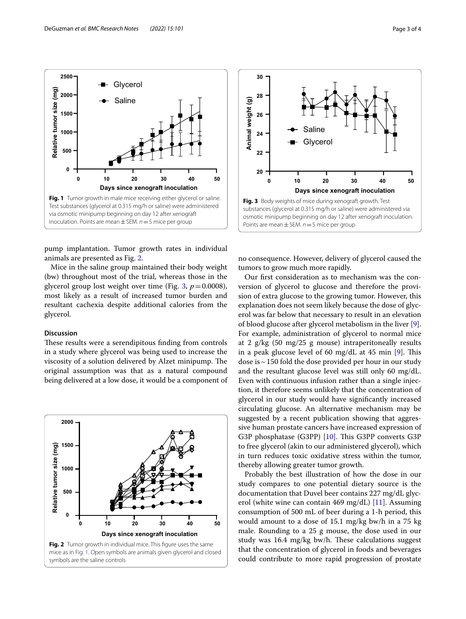



<span id="page-2-0"></span>pump implantation. Tumor growth rates in individual animals are presented as Fig. [2.](#page-2-1)

Mice in the saline group maintained their body weight (bw) throughout most of the trial, whereas those in the glycerol group lost weight over time (Fig. [3,](#page-2-2)  $p = 0.0008$ ), most likely as a result of increased tumor burden and resultant cachexia despite additional calories from the glycerol.

## **Discussion**

These results were a serendipitous finding from controls in a study where glycerol was being used to increase the viscosity of a solution delivered by Alzet minipump. The original assumption was that as a natural compound being delivered at a low dose, it would be a component of

<span id="page-2-1"></span>



<span id="page-2-2"></span>no consequence. However, delivery of glycerol caused the tumors to grow much more rapidly.

Our frst consideration as to mechanism was the conversion of glycerol to glucose and therefore the provision of extra glucose to the growing tumor. However, this explanation does not seem likely because the dose of glycerol was far below that necessary to result in an elevation of blood glucose after glycerol metabolism in the liver [\[9](#page-3-8)]. For example, administration of glycerol to normal mice at 2 g/kg (50 mg/25 g mouse) intraperitoneally results in a peak glucose level of 60  $mg/dL$  at 45 min [\[9](#page-3-8)]. This dose is  $\sim$  150 fold the dose provided per hour in our study and the resultant glucose level was still only 60 mg/dL. Even with continuous infusion rather than a single injection, it therefore seems unlikely that the concentration of glycerol in our study would have signifcantly increased circulating glucose. An alternative mechanism may be suggested by a recent publication showing that aggressive human prostate cancers have increased expression of G3P phosphatase (G3PP) [\[10](#page-3-9)]. This G3PP converts G3P to free glycerol (akin to our administered glycerol), which in turn reduces toxic oxidative stress within the tumor, thereby allowing greater tumor growth.

Probably the best illustration of how the dose in our study compares to one potential dietary source is the documentation that Duvel beer contains 227 mg/dL glycerol (white wine can contain 469 mg/dL) [\[11](#page-3-10)]. Assuming consumption of 500 mL of beer during a 1-h period, this would amount to a dose of 15.1 mg/kg bw/h in a 75 kg male. Rounding to a 25 g mouse, the dose used in our study was  $16.4 \text{ mg/kg}$  bw/h. These calculations suggest that the concentration of glycerol in foods and beverages could contribute to more rapid progression of prostate